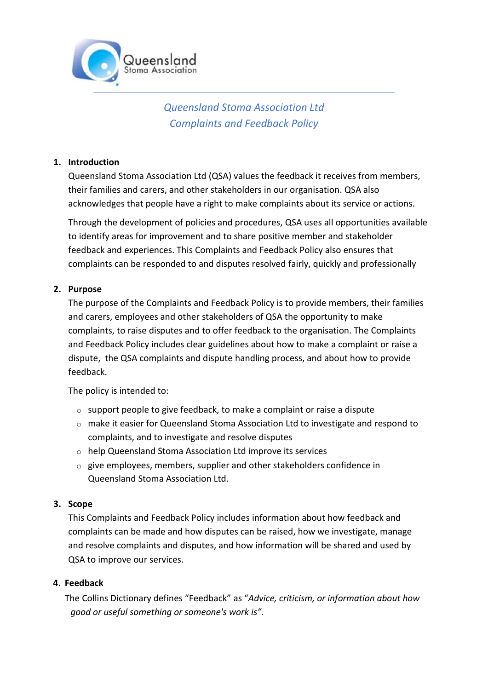

*Queensland Stoma Association Ltd Complaints and Feedback Policy*

## **1. Introduction**

Queensland Stoma Association Ltd (QSA) values the feedback it receives from members, their families and carers, and other stakeholders in our organisation. QSA also acknowledges that people have a right to make complaints about its service or actions.

Through the development of policies and procedures, QSA uses all opportunities available to identify areas for improvement and to share positive member and stakeholder feedback and experiences. This Complaints and Feedback Policy also ensures that complaints can be responded to and disputes resolved fairly, quickly and professionally

## **2. Purpose**

The purpose of the Complaints and Feedback Policy is to provide members, their families and carers, employees and other stakeholders of QSA the opportunity to make complaints, to raise disputes and to offer feedback to the organisation. The Complaints and Feedback Policy includes clear guidelines about how to make a complaint or raise a dispute, the QSA complaints and dispute handling process, and about how to provide feedback.

The policy is intended to:

- o support people to give feedback, to make a complaint or raise a dispute
- o make it easier for Queensland Stoma Association Ltd to investigate and respond to complaints, and to investigate and resolve disputes
- o help Queensland Stoma Association Ltd improve its services
- o give employees, members, supplier and other stakeholders confidence in Queensland Stoma Association Ltd.

#### **3. Scope**

This Complaints and Feedback Policy includes information about how feedback and complaints can be made and how disputes can be raised, how we investigate, manage and resolve complaints and disputes, and how information will be shared and used by QSA to improve our services.

#### **4. Feedback**

The Collins Dictionary defines "Feedback" as "*Advice, criticism, or information about how good or useful something or someone's work is".*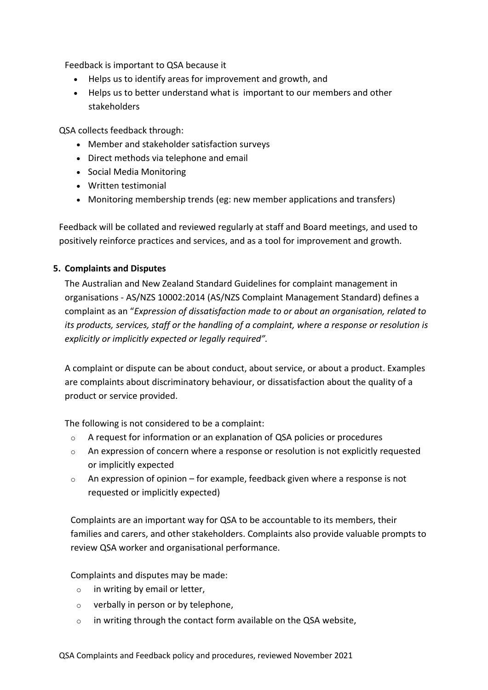Feedback is important to QSA because it

- Helps us to identify areas for improvement and growth, and
- Helps us to better understand what is important to our members and other stakeholders

QSA collects feedback through:

- Member and stakeholder satisfaction surveys
- Direct methods via telephone and email
- Social Media Monitoring
- Written testimonial
- Monitoring membership trends (eg: new member applications and transfers)

Feedback will be collated and reviewed regularly at staff and Board meetings, and used to positively reinforce practices and services, and as a tool for improvement and growth.

# **5. Complaints and Disputes**

The Australian and New Zealand Standard Guidelines for complaint management in organisations - AS/NZS 10002:2014 (AS/NZS Complaint Management Standard) defines a complaint as an "*Expression of dissatisfaction made to or about an organisation, related to its products, services, staff or the handling of a complaint, where a response or resolution is explicitly or implicitly expected or legally required".*

A complaint or dispute can be about conduct, about service, or about a product. Examples are complaints about discriminatory behaviour, or dissatisfaction about the quality of a product or service provided.

The following is not considered to be a complaint:

- $\circ$  A request for information or an explanation of QSA policies or procedures
- o An expression of concern where a response or resolution is not explicitly requested or implicitly expected
- $\circ$  An expression of opinion for example, feedback given where a response is not requested or implicitly expected)

Complaints are an important way for QSA to be accountable to its members, their families and carers, and other stakeholders. Complaints also provide valuable prompts to review QSA worker and organisational performance.

Complaints and disputes may be made:

- $\circ$  in writing by email or letter,
- o verbally in person or by telephone,
- $\circ$  in writing through the contact form available on the QSA website,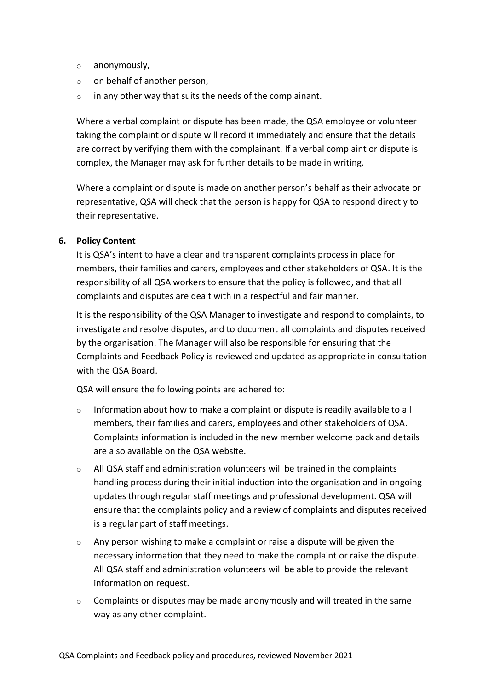- o anonymously,
- $\circ$  on behalf of another person.
- $\circ$  in any other way that suits the needs of the complainant.

Where a verbal complaint or dispute has been made, the QSA employee or volunteer taking the complaint or dispute will record it immediately and ensure that the details are correct by verifying them with the complainant. If a verbal complaint or dispute is complex, the Manager may ask for further details to be made in writing.

Where a complaint or dispute is made on another person's behalf as their advocate or representative, QSA will check that the person is happy for QSA to respond directly to their representative.

#### **6. Policy Content**

It is QSA's intent to have a clear and transparent complaints process in place for members, their families and carers, employees and other stakeholders of QSA. It is the responsibility of all QSA workers to ensure that the policy is followed, and that all complaints and disputes are dealt with in a respectful and fair manner.

It is the responsibility of the QSA Manager to investigate and respond to complaints, to investigate and resolve disputes, and to document all complaints and disputes received by the organisation. The Manager will also be responsible for ensuring that the Complaints and Feedback Policy is reviewed and updated as appropriate in consultation with the QSA Board.

QSA will ensure the following points are adhered to:

- $\circ$  Information about how to make a complaint or dispute is readily available to all members, their families and carers, employees and other stakeholders of QSA. Complaints information is included in the new member welcome pack and details are also available on the QSA website.
- $\circ$  All QSA staff and administration volunteers will be trained in the complaints handling process during their initial induction into the organisation and in ongoing updates through regular staff meetings and professional development. QSA will ensure that the complaints policy and a review of complaints and disputes received is a regular part of staff meetings.
- o Any person wishing to make a complaint or raise a dispute will be given the necessary information that they need to make the complaint or raise the dispute. All QSA staff and administration volunteers will be able to provide the relevant information on request.
- $\circ$  Complaints or disputes may be made anonymously and will treated in the same way as any other complaint.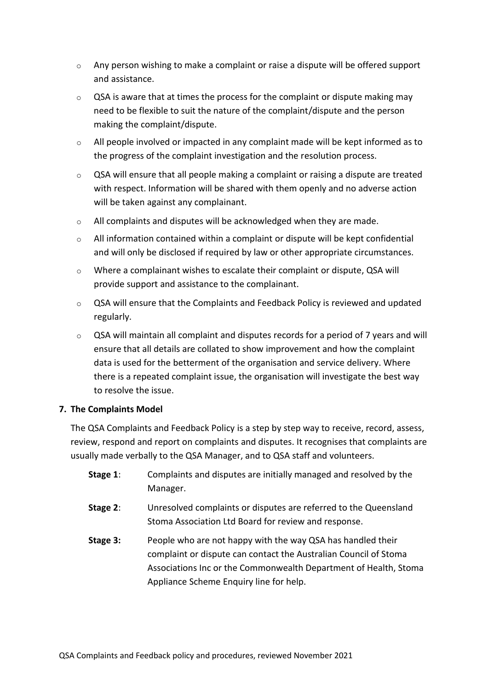- $\circ$  Any person wishing to make a complaint or raise a dispute will be offered support and assistance.
- o QSA is aware that at times the process for the complaint or dispute making may need to be flexible to suit the nature of the complaint/dispute and the person making the complaint/dispute.
- $\circ$  All people involved or impacted in any complaint made will be kept informed as to the progress of the complaint investigation and the resolution process.
- $\circ$  QSA will ensure that all people making a complaint or raising a dispute are treated with respect. Information will be shared with them openly and no adverse action will be taken against any complainant.
- o All complaints and disputes will be acknowledged when they are made.
- $\circ$  All information contained within a complaint or dispute will be kept confidential and will only be disclosed if required by law or other appropriate circumstances.
- $\circ$  Where a complainant wishes to escalate their complaint or dispute, QSA will provide support and assistance to the complainant.
- $\circ$  QSA will ensure that the Complaints and Feedback Policy is reviewed and updated regularly.
- o QSA will maintain all complaint and disputes records for a period of 7 years and will ensure that all details are collated to show improvement and how the complaint data is used for the betterment of the organisation and service delivery. Where there is a repeated complaint issue, the organisation will investigate the best way to resolve the issue.

# **7. The Complaints Model**

The QSA Complaints and Feedback Policy is a step by step way to receive, record, assess, review, respond and report on complaints and disputes. It recognises that complaints are usually made verbally to the QSA Manager, and to QSA staff and volunteers.

- **Stage 1**: Complaints and disputes are initially managed and resolved by the Manager.
- **Stage 2**: Unresolved complaints or disputes are referred to the Queensland Stoma Association Ltd Board for review and response.
- **Stage 3:** People who are not happy with the way QSA has handled their complaint or dispute can contact the Australian Council of Stoma Associations Inc or the Commonwealth Department of Health, Stoma Appliance Scheme Enquiry line for help.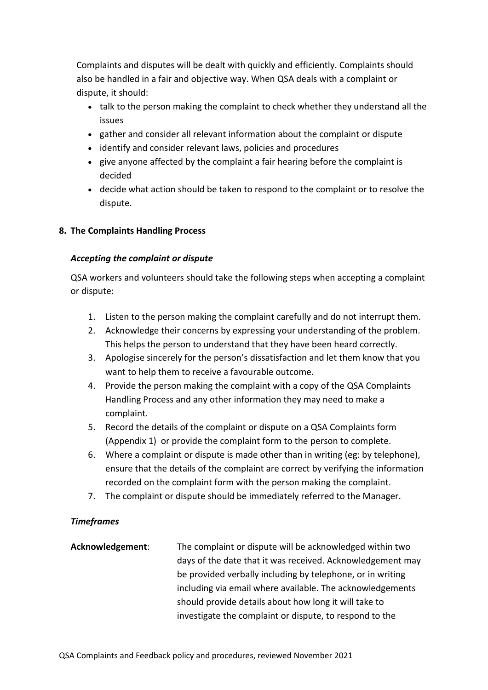Complaints and disputes will be dealt with quickly and efficiently. Complaints should also be handled in a fair and objective way. When QSA deals with a complaint or dispute, it should:

- talk to the person making the complaint to check whether they understand all the issues
- gather and consider all relevant information about the complaint or dispute
- identify and consider relevant laws, policies and procedures
- give anyone affected by the complaint a fair hearing before the complaint is decided
- decide what action should be taken to respond to the complaint or to resolve the dispute.

# **8. The Complaints Handling Process**

# *Accepting the complaint or dispute*

QSA workers and volunteers should take the following steps when accepting a complaint or dispute:

- 1. Listen to the person making the complaint carefully and do not interrupt them.
- 2. Acknowledge their concerns by expressing your understanding of the problem. This helps the person to understand that they have been heard correctly.
- 3. Apologise sincerely for the person's dissatisfaction and let them know that you want to help them to receive a favourable outcome.
- 4. Provide the person making the complaint with a copy of the QSA Complaints Handling Process and any other information they may need to make a complaint.
- 5. Record the details of the complaint or dispute on a QSA Complaints form (Appendix 1) or provide the complaint form to the person to complete.
- 6. Where a complaint or dispute is made other than in writing (eg: by telephone), ensure that the details of the complaint are correct by verifying the information recorded on the complaint form with the person making the complaint.
- 7. The complaint or dispute should be immediately referred to the Manager.

# *Timeframes*

# **Acknowledgement**: The complaint or dispute will be acknowledged within two days of the date that it was received. Acknowledgement may be provided verbally including by telephone, or in writing including via email where available. The acknowledgements should provide details about how long it will take to investigate the complaint or dispute, to respond to the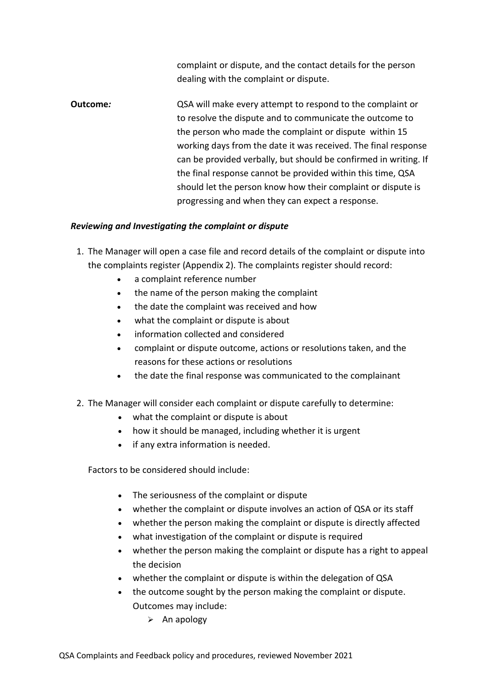complaint or dispute, and the contact details for the person dealing with the complaint or dispute.

**Outcome***:* QSA will make every attempt to respond to the complaint or to resolve the dispute and to communicate the outcome to the person who made the complaint or dispute within 15 working days from the date it was received. The final response can be provided verbally, but should be confirmed in writing. If the final response cannot be provided within this time, QSA should let the person know how their complaint or dispute is progressing and when they can expect a response.

## *Reviewing and Investigating the complaint or dispute*

- 1. The Manager will open a case file and record details of the complaint or dispute into the complaints register (Appendix 2). The complaints register should record:
	- a complaint reference number
	- the name of the person making the complaint
	- the date the complaint was received and how
	- what the complaint or dispute is about
	- information collected and considered
	- complaint or dispute outcome, actions or resolutions taken, and the reasons for these actions or resolutions
	- the date the final response was communicated to the complainant
- 2. The Manager will consider each complaint or dispute carefully to determine:
	- what the complaint or dispute is about
	- how it should be managed, including whether it is urgent
	- if any extra information is needed.

Factors to be considered should include:

- The seriousness of the complaint or dispute
- whether the complaint or dispute involves an action of QSA or its staff
- whether the person making the complaint or dispute is directly affected
- what investigation of the complaint or dispute is required
- whether the person making the complaint or dispute has a right to appeal the decision
- whether the complaint or dispute is within the delegation of QSA
- the outcome sought by the person making the complaint or dispute. Outcomes may include:
	- ➢ An apology